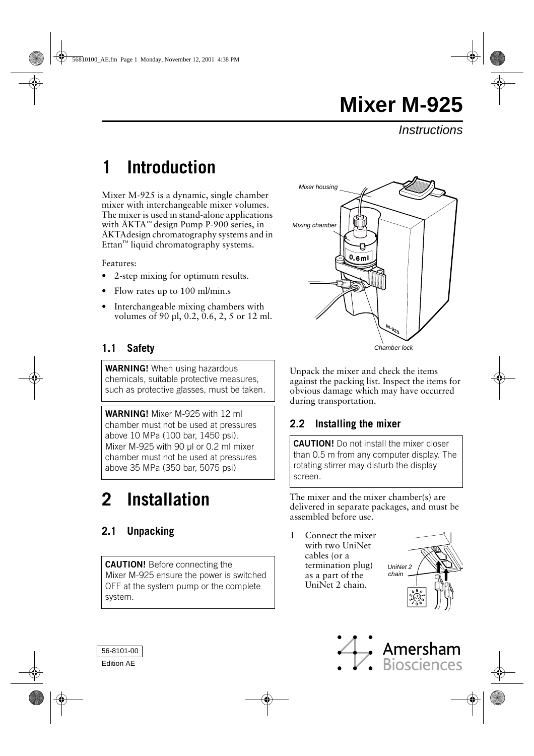**Instructions** 

## **1 Introduction**

Mixer M-925 is a dynamic, single chamber mixer with interchangeable mixer volumes. The mixer is used in stand-alone applications with ÄKTA™ design Pump P-900 series, in ÄKTAdesign chromatography systems and in Ettan™ liquid chromatography systems.

Features:

- 2-step mixing for optimum results.
- Flow rates up to 100 ml/min.s
- Interchangeable mixing chambers with volumes of 90 µl, 0.2, 0.6, 2, 5 or 12 ml.

## **1.1 Safety**

**WARNING!** When using hazardous chemicals, suitable protective measures, such as protective glasses, must be taken.

**WARNING!** Mixer M-925 with 12 ml chamber must not be used at pressures above 10 MPa (100 bar, 1450 psi). Mixer M-925 with 90 µl or 0.2 ml mixer chamber must not be used at pressures above 35 MPa (350 bar, 5075 psi)

# **2 Installation**

## **2.1 Unpacking**

**CAUTION!** Before connecting the Mixer M-925 ensure the power is switched OFF at the system pump or the complete system.



Chamber lock

Unpack the mixer and check the items against the packing list. Inspect the items for obvious damage which may have occurred during transportation.

## **2.2 Installing the mixer**

**CAUTION!** Do not install the mixer closer than 0.5 m from any computer display. The rotating stirrer may disturb the display screen.

The mixer and the mixer chamber(s) are delivered in separate packages, and must be assembled before use.

1 Connect the mixer with two UniNet cables (or a termination plug) as a part of the UniNet 2 chain.





56-8101-00

Edition AE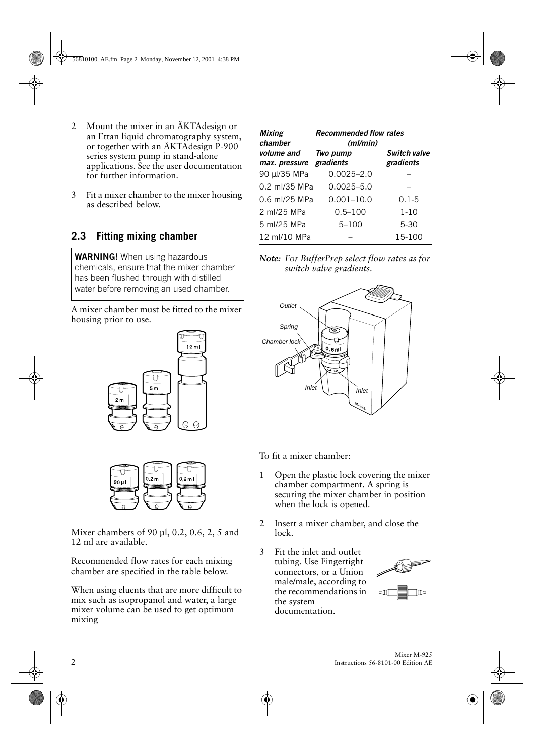- 2 Mount the mixer in an ÄKTAdesign or an Ettan liquid chromatography system, or together with an ÄKTAdesign P-900 series system pump in stand-alone applications. See the user documentation for further information.
- 3 Fit a mixer chamber to the mixer housing as described below.

## **2.3 Fitting mixing chamber**

**WARNING!** When using hazardous chemicals, ensure that the mixer chamber has been flushed through with distilled water before removing an used chamber.

A mixer chamber must be fitted to the mixer housing prior to use.





Mixer chambers of 90 µl, 0.2, 0.6, 2, 5 and 12 ml are available.

Recommended flow rates for each mixing chamber are specified in the table below.

When using eluents that are more difficult to mix such as isopropanol and water, a large mixer volume can be used to get optimum mixing

| <b>Mixing</b><br>chamber    | <b>Recommended flow rates</b><br>(ml/min) |                                  |  |
|-----------------------------|-------------------------------------------|----------------------------------|--|
| volume and<br>max. pressure | Two pump<br>gradients                     | <b>Switch valve</b><br>gradients |  |
| 90 µl/35 MPa                | $0.0025 - 2.0$                            |                                  |  |
| 0.2 ml/35 MPa               | $0.0025 - 5.0$                            |                                  |  |
| 0.6 ml/25 MPa               | $0.001 - 10.0$                            | $0.1 - 5$                        |  |
| 2 ml/25 MPa                 | $0.5 - 100$                               | $1 - 10$                         |  |
| 5 ml/25 MPa                 | $5 - 100$                                 | $5 - 30$                         |  |
| 12 ml/10 MPa                |                                           | 15-100                           |  |

*Note: For BufferPrep select flow rates as for switch valve gradients.*



To fit a mixer chamber:

- 1 Open the plastic lock covering the mixer chamber compartment. A spring is securing the mixer chamber in position when the lock is opened.
- 2 Insert a mixer chamber, and close the lock.
- 3 Fit the inlet and outlet tubing. Use Fingertight connectors, or a Union male/male, according to the recommendations in the system documentation.

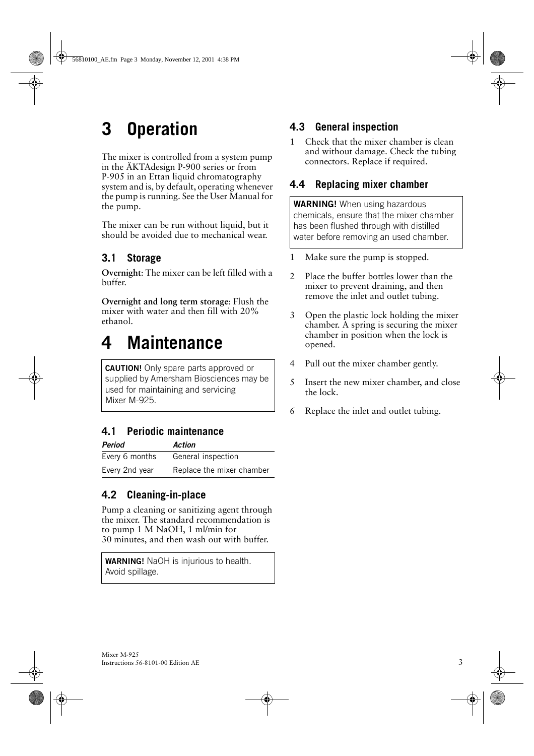# **3 Operation**

The mixer is controlled from a system pump in the ÄKTAdesign P-900 series or from P-905 in an Ettan liquid chromatography system and is, by default, operating whenever the pump is running. See the User Manual for the pump.

The mixer can be run without liquid, but it should be avoided due to mechanical wear.

## **3.1 Storage**

**Overnight**: The mixer can be left filled with a buffer.

**Overnight and long term storage**: Flush the mixer with water and then fill with 20% ethanol.

## **4 Maintenance**

**CAUTION!** Only spare parts approved or supplied by Amersham Biosciences may be used for maintaining and servicing Mixer M-925.

## **4.1 Periodic maintenance**

| <b>Period</b>  | Action                    |
|----------------|---------------------------|
| Every 6 months | General inspection        |
| Every 2nd year | Replace the mixer chamber |

## **4.2 Cleaning-in-place**

Pump a cleaning or sanitizing agent through the mixer. The standard recommendation is to pump 1 M NaOH, 1 ml/min for 30 minutes, and then wash out with buffer.

**WARNING!** NaOH is injurious to health. Avoid spillage.

## **4.3 General inspection**

1 Check that the mixer chamber is clean and without damage. Check the tubing connectors. Replace if required.

### **4.4 Replacing mixer chamber**

**WARNING!** When using hazardous chemicals, ensure that the mixer chamber has been flushed through with distilled water before removing an used chamber.

- 1 Make sure the pump is stopped.
- 2 Place the buffer bottles lower than the mixer to prevent draining, and then remove the inlet and outlet tubing.
- 3 Open the plastic lock holding the mixer chamber. A spring is securing the mixer chamber in position when the lock is opened.
- 4 Pull out the mixer chamber gently.
- 5 Insert the new mixer chamber, and close the lock.
- 6 Replace the inlet and outlet tubing.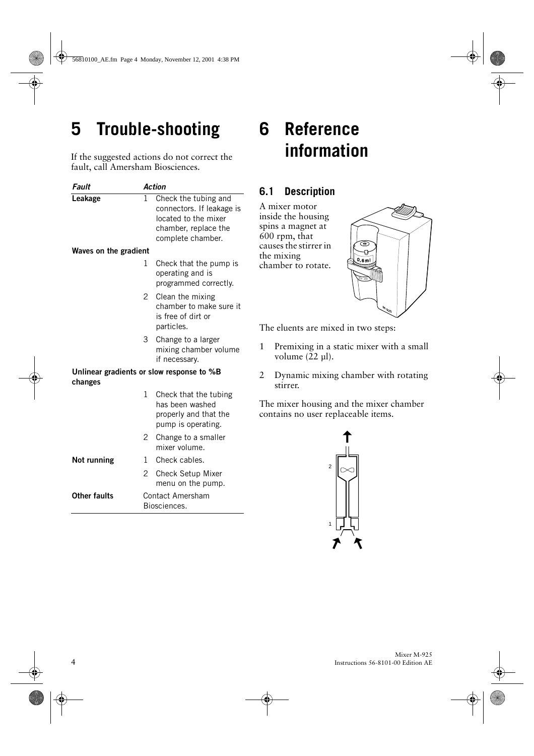# **5 Trouble-shooting**

If the suggested actions do not correct the fault, call Amersham Biosciences.

| Fault                                                | <b>Action</b>  |                                                                                                                        |  |  |
|------------------------------------------------------|----------------|------------------------------------------------------------------------------------------------------------------------|--|--|
| Leakage                                              | 1              | Check the tubing and<br>connectors. If leakage is<br>located to the mixer<br>chamber, replace the<br>complete chamber. |  |  |
| Waves on the gradient                                |                |                                                                                                                        |  |  |
|                                                      | 1              | Check that the pump is<br>operating and is<br>programmed correctly.                                                    |  |  |
|                                                      | $\mathbf{2}$   | Clean the mixing<br>chamber to make sure it<br>is free of dirt or<br>particles.                                        |  |  |
|                                                      | 3              | Change to a larger<br>mixing chamber volume<br>if necessary.                                                           |  |  |
| Unlinear gradients or slow response to %B<br>changes |                |                                                                                                                        |  |  |
|                                                      | 1              | Check that the tubing<br>has been washed<br>properly and that the<br>pump is operating.                                |  |  |
|                                                      | $\overline{c}$ | Change to a smaller<br>mixer volume.                                                                                   |  |  |
| Not running                                          | 1              | Check cables.                                                                                                          |  |  |
|                                                      | 2              | Check Setup Mixer<br>menu on the pump.                                                                                 |  |  |
| Other faults                                         |                | Contact Amersham<br>Biosciences.                                                                                       |  |  |

## **6 Reference information**

### **6.1 Description**

A mixer motor inside the housing spins a magnet at 600 rpm, that causes the stirrer in the mixing chamber to rotate.



The eluents are mixed in two steps:

- 1 Premixing in a static mixer with a small volume (22 µl).
- 2 Dynamic mixing chamber with rotating stirrer.

The mixer housing and the mixer chamber contains no user replaceable items.

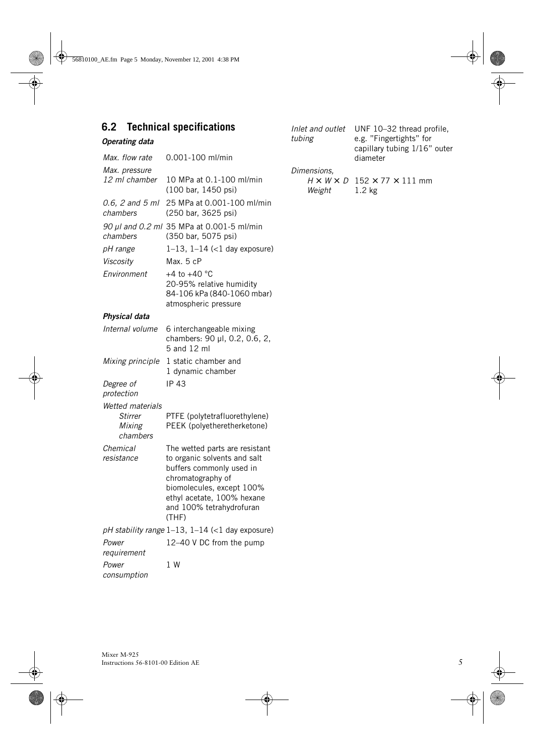### **6.2 Technical specifications**

#### *Operating data*

| Max. flow rate                                           | $0.001 - 100$ ml/min                                                                                                                                                       |
|----------------------------------------------------------|----------------------------------------------------------------------------------------------------------------------------------------------------------------------------|
| Max. pressure                                            |                                                                                                                                                                            |
| 12 ml chamber                                            | 10 MPa at 0.1-100 ml/min<br>(100 bar, 1450 psi)                                                                                                                            |
| 0.6, 2 and 5 ml<br>chambers                              | 25 MPa at 0.001-100 ml/min<br>(250 bar, 3625 psi)                                                                                                                          |
| 90 µl and 0.2 ml<br>chambers                             | 35 MPa at 0.001-5 ml/min<br>(350 bar, 5075 psi)                                                                                                                            |
| pH range                                                 | $1-13$ , $1-14$ (<1 day exposure)                                                                                                                                          |
| Viscosity                                                | Max. 5 cP                                                                                                                                                                  |
| Environment                                              | +4 to +40 $^{\circ}$ C<br>20-95% relative humidity<br>84-106 kPa (840-1060 mbar)<br>atmospheric pressure                                                                   |
| Physical data                                            |                                                                                                                                                                            |
| Internal volume                                          | 6 interchangeable mixing<br>chambers: 90 µl, 0.2, 0.6, 2,<br>5 and 12 ml                                                                                                   |
| Mixing principle                                         | 1 static chamber and<br>1 dynamic chamber                                                                                                                                  |
| Degree of<br>protection                                  | <b>IP 43</b>                                                                                                                                                               |
| Wetted materials<br><b>Stirrer</b><br>Mixing<br>chambers | PTFE (polytetrafluorethylene)<br>PEEK (polyetheretherketone)                                                                                                               |
| Chemical<br>resistance                                   | The wetted parts are resistant<br>to organic solvents and salt<br>buffers commonly used in<br>chromatography of<br>biomolecules, except 100%<br>ethyl acetate, 100% hexane |

and 100% tetrahydrofuran

12–40 V DC from the pump

(THF) *pH stability range* 1–13, 1–14 (<1 day exposure)

1 W

*Inlet and outlet*  UNF 10–32 thread profile, *tubing* e.g. "Fingertights" for capillary tubing 1/16" outer diameter *Dimensions,* 

*H* × *W* × *D* 152 × 77 × 111 mm *Weight* 1.2 kg

*Power requirement*

*Power consumption*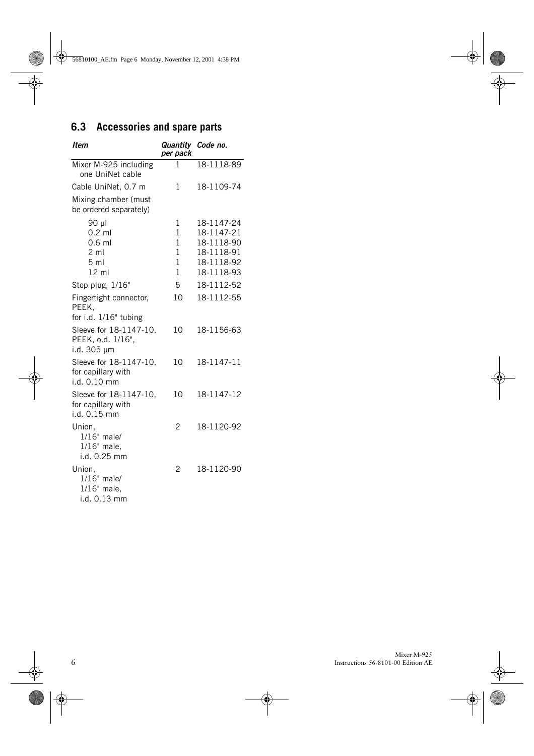## **6.3 Accessories and spare parts**

| Item                                                         | Quantity Code no.<br>per pack |                          |
|--------------------------------------------------------------|-------------------------------|--------------------------|
| Mixer M-925 including<br>one UniNet cable                    | 1                             | 18-1118-89               |
| Cable UniNet, 0.7 m                                          | 1                             | 18-1109-74               |
| Mixing chamber (must<br>be ordered separately)               |                               |                          |
| 90 µl                                                        | 1                             | 18-1147-24               |
| $0.2$ ml                                                     | 1                             | 18-1147-21               |
| $0.6$ ml                                                     | 1                             | 18-1118-90               |
| $2 \text{ ml}$<br>5 <sub>m1</sub>                            | 1<br>1                        | 18-1118-91<br>18-1118-92 |
| $12 \mathrm{ml}$                                             | 1                             | 18-1118-93               |
| Stop plug, 1/16"                                             | 5                             | 18-1112-52               |
|                                                              |                               |                          |
| Fingertight connector,<br>PEEK,<br>for i.d. 1/16" tubing     | 10                            | 18-1112-55               |
| Sleeve for 18-1147-10,<br>PEEK, o.d. 1/16",<br>i.d. 305 µm   | 10                            | 18-1156-63               |
| Sleeve for 18-1147-10,<br>for capillary with<br>i.d. 0.10 mm | 10                            | 18-1147-11               |
| Sleeve for 18-1147-10,<br>for capillary with<br>i.d. 0.15 mm | 10                            | 18-1147-12               |
| Union,<br>1/16" male/<br>1/16" male,<br>i.d. 0.25 mm         | 2                             | 18-1120-92               |
| Union,<br>1/16" male/<br>$1/16"$ male,<br>i.d. 0.13 mm       | 2                             | 18-1120-90               |